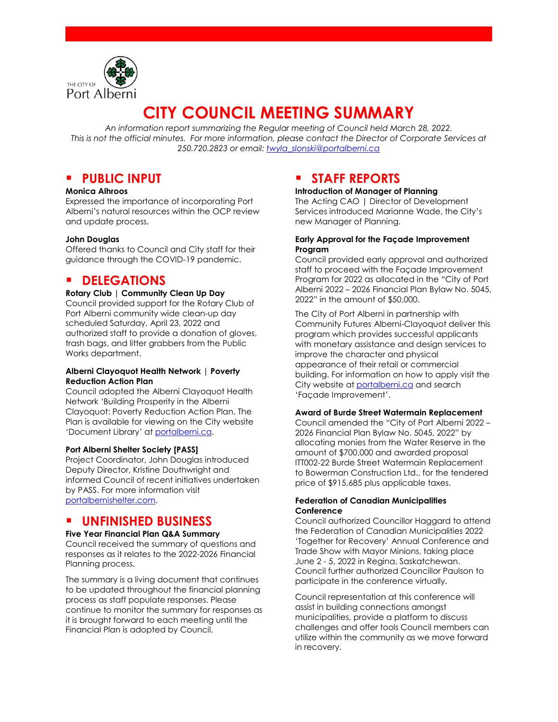

# **CITY COUNCIL MEETING SUMMARY**

*An information report summarizing the Regular meeting of Council held March 28, 2022. This is not the official minutes. For more information, please contact the Director of Corporate Services at 250.720.2823 or email: [twyla\\_slonski@portalberni.ca](mailto:twyla_slonski@portalberni.ca)*

### **PUBLIC INPUT**

#### **Monica Alhroos**

Expressed the importance of incorporating Port Alberni's natural resources within the OCP review and update process.

### **John Douglas**

Offered thanks to Council and City staff for their guidance through the COVID-19 pandemic.

### **P** DELEGATIONS

### **Rotary Club | Community Clean Up Day**

Council provided support for the Rotary Club of Port Alberni community wide clean-up day scheduled Saturday, April 23, 2022 and authorized staff to provide a donation of gloves, trash bags, and litter grabbers from the Public Works department.

#### **Alberni Clayoquot Health Network | Poverty Reduction Action Plan**

Council adopted the Alberni Clayoquot Health Network 'Building Prosperity in the Alberni Clayoquot: Poverty Reduction Action Plan. The Plan is available for viewing on the City website 'Document Library' at [portalberni.ca.](http://www.portalberni.ca/) 

#### **Port Alberni Shelter Society [PASS]**

Project Coordinator, John Douglas introduced Deputy Director, Kristine Douthwright and informed Council of recent initiatives undertaken by PASS. For more information visit [portalbernishelter.com.](http://www.portalbernishelter.com/)

### **UNFINISHED BUSINESS**

### **Five Year Financial Plan Q&A Summary**

Council received the summary of questions and responses as it relates to the 2022-2026 Financial Planning process.

The summary is a living document that continues to be updated throughout the financial planning process as staff populate responses. Please continue to monitor the summary for responses as it is brought forward to each meeting until the Financial Plan is adopted by Council.

### **STAFF REPORTS**

#### **Introduction of Manager of Planning**

The Acting CAO | Director of Development Services introduced Marianne Wade, the City's new Manager of Planning.

#### **Early Approval for the Façade Improvement Program**

Council provided early approval and authorized staff to proceed with the Façade Improvement Program for 2022 as allocated in the "City of Port Alberni 2022 – 2026 Financial Plan Bylaw No. 5045, 2022" in the amount of \$50,000.

The City of Port Alberni in partnership with Community Futures Alberni-Clayoquot deliver this program which provides successful applicants with monetary assistance and design services to improve the character and physical appearance of their retail or commercial building. For information on how to apply visit the City website at [portalberni.ca](http://www.portalberni.ca/) and search 'Façade Improvement'.

### **Award of Burde Street Watermain Replacement**

Council amended the "City of Port Alberni 2022 – 2026 Financial Plan Bylaw No. 5045, 2022" by allocating monies from the Water Reserve in the amount of \$700,000 and awarded proposal ITT002-22 Burde Street Watermain Replacement to Bowerman Construction Ltd., for the tendered price of \$915,685 plus applicable taxes.

### **Federation of Canadian Municipalities Conference**

Council authorized Councillor Haggard to attend the Federation of Canadian Municipalities 2022 'Together for Recovery' Annual Conference and Trade Show with Mayor Minions, taking place June 2 - 5, 2022 in Regina, Saskatchewan. Council further authorized Councillor Paulson to participate in the conference virtually.

Council representation at this conference will assist in building connections amongst municipalities, provide a platform to discuss challenges and offer tools Council members can utilize within the community as we move forward in recovery.